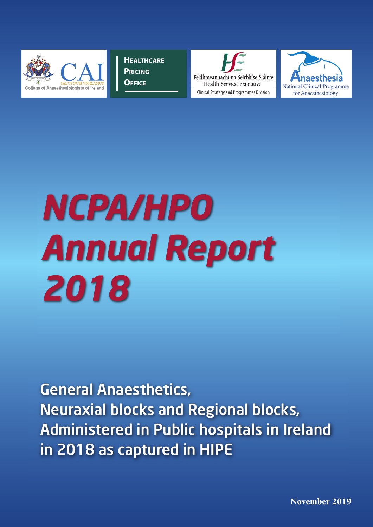

**HEALTHCARE PRICING OFFICE**





# *NCPA/HPO Annual Report 2018*

General Anaesthetics, Neuraxial blocks and Regional blocks, Administered in Public hospitals in Ireland in 2018 as captured in HIPE

**November 2019**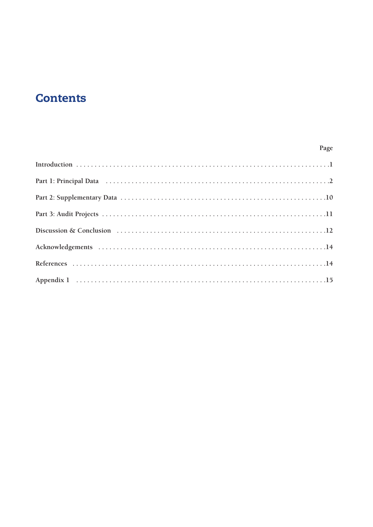## **Contents**

#### Page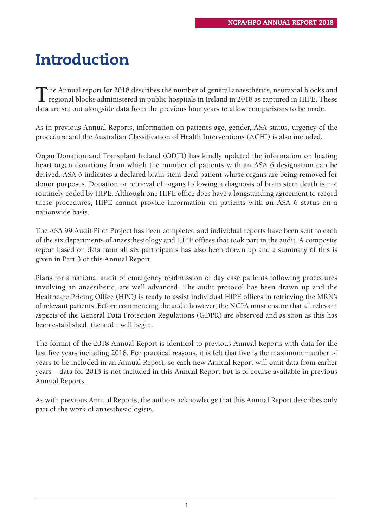# **Introduction**

The Annual report for 2018 describes the number of general anaesthetics, neuraxial blocks and regional blocks administered in public hospitals in Ireland in 2018 as captured in HIPE. These data are set out alongside data from the previous four years to allow comparisons to be made.

As in previous Annual Reports, information on patient's age, gender, ASA status, urgency of the procedure and the Australian Classification of Health Interventions (ACHI) is also included.

Organ Donation and Transplant Ireland (ODTI) has kindly updated the information on beating heart organ donations from which the number of patients with an ASA 6 designation can be derived. ASA 6 indicates a declared brain stem dead patient whose organs are being removed for donor purposes. Donation or retrieval of organs following a diagnosis of brain stem death is not routinely coded by HIPE. Although one HIPE office does have a longstanding agreement to record these procedures, HIPE cannot provide information on patients with an ASA 6 status on a nationwide basis.

The ASA 99 Audit Pilot Project has been completed and individual reports have been sent to each of the six departments of anaesthesiology and HIPE offices that took part in the audit. A composite report based on data from all six participants has also been drawn up and a summary of this is given in Part 3 of this Annual Report.

Plans for a national audit of emergency readmission of day case patients following procedures involving an anaesthetic, are well advanced. The audit protocol has been drawn up and the Healthcare Pricing Office (HPO) is ready to assist individual HIPE offices in retrieving the MRN's of relevant patients. Before commencing the audit however, the NCPA must ensure that all relevant aspects of the General Data Protection Regulations (GDPR) are observed and as soon as this has been established, the audit will begin.

The format of the 2018 Annual Report is identical to previous Annual Reports with data for the last five years including 2018. For practical reasons, it is felt that five is the maximum number of years to be included in an Annual Report, so each new Annual Report will omit data from earlier years – data for 2013 is not included in this Annual Report but is of course available in previous Annual Reports.

As with previous Annual Reports, the authors acknowledge that this Annual Report describes only part of the work of anaesthesiologists.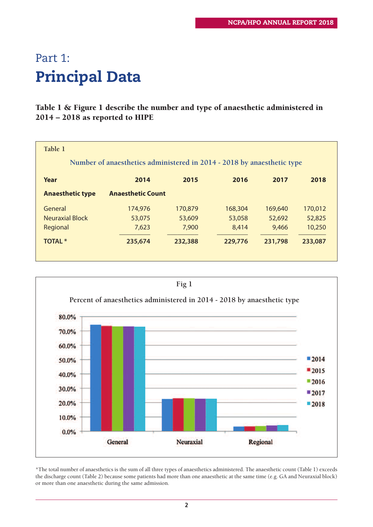# Part 1: **Principal Data**

#### **Table 1 & Figure 1 describe the number and type of anaesthetic administered in 2014 – 2018 as reported to HIPE**

| Table 1                                                                |                          |         |         |         |         |
|------------------------------------------------------------------------|--------------------------|---------|---------|---------|---------|
| Number of anaesthetics administered in 2014 - 2018 by anaesthetic type |                          |         |         |         |         |
| Year                                                                   | 2014                     | 2015    | 2016    | 2017    | 2018    |
| <b>Anaesthetic type</b>                                                | <b>Anaesthetic Count</b> |         |         |         |         |
| General                                                                | 174,976                  | 170,879 | 168,304 | 169,640 | 170,012 |
| <b>Neuraxial Block</b>                                                 | 53,075                   | 53,609  | 53,058  | 52,692  | 52,825  |
| Regional                                                               | 7,623                    | 7,900   | 8,414   | 9,466   | 10,250  |
| <b>TOTAL *</b>                                                         | 235,674                  | 232,388 | 229,776 | 231,798 | 233,087 |
|                                                                        |                          |         |         |         |         |



\*The total number of anaesthetics is the sum of all three types of anaesthetics administered. The anaesthetic count (Table 1) exceeds the discharge count (Table 2) because some patients had more than one anaesthetic at the same time (e.g. GA and Neuraxial block) or more than one anaesthetic during the same admission.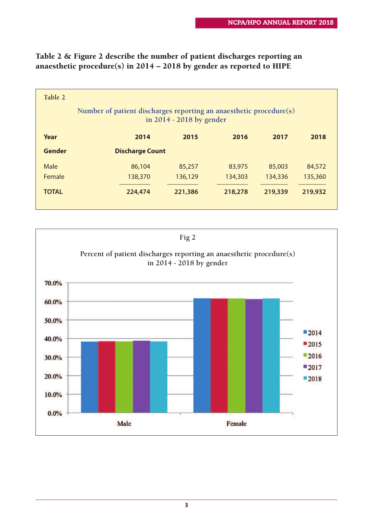| Table 2      |                                                                    |                          |         |         |         |
|--------------|--------------------------------------------------------------------|--------------------------|---------|---------|---------|
|              | Number of patient discharges reporting an anaesthetic procedure(s) | in 2014 - 2018 by gender |         |         |         |
| Year         | 2014                                                               | 2015                     | 2016    | 2017    | 2018    |
| Gender       | <b>Discharge Count</b>                                             |                          |         |         |         |
| Male         | 86,104                                                             | 85,257                   | 83,975  | 85,003  | 84,572  |
| Female       | 138,370                                                            | 136,129                  | 134,303 | 134,336 | 135,360 |
| <b>TOTAL</b> | 224,474                                                            | 221,386                  | 218,278 | 219,339 | 219,932 |
|              |                                                                    |                          |         |         |         |

#### **Table 2 & Figure 2 describe the number of patient discharges reporting an anaesthetic procedure(s) in 2014 – 2018 by gender as reported to HIPE**

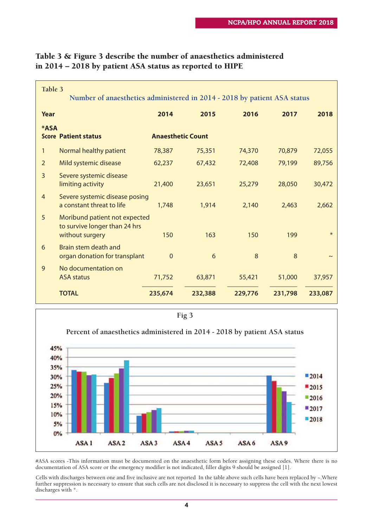| Table 3<br>Number of anaesthetics administered in 2014 - 2018 by patient ASA status    |                |                          |         |         |         |
|----------------------------------------------------------------------------------------|----------------|--------------------------|---------|---------|---------|
| Year                                                                                   | 2014           | 2015                     | 2016    | 2017    | 2018    |
| <b>*ASA</b><br><b>Score Patient status</b>                                             |                | <b>Anaesthetic Count</b> |         |         |         |
| Normal healthy patient<br>1                                                            | 78,387         | 75,351                   | 74,370  | 70,879  | 72,055  |
| Mild systemic disease<br>$\overline{2}$                                                | 62,237         | 67,432                   | 72,408  | 79,199  | 89,756  |
| 3<br>Severe systemic disease<br>limiting activity                                      | 21,400         | 23,651                   | 25,279  | 28,050  | 30,472  |
| $\overline{4}$<br>Severe systemic disease posing<br>a constant threat to life          | 1,748          | 1,914                    | 2,140   | 2,463   | 2,662   |
| 5<br>Moribund patient not expected<br>to survive longer than 24 hrs<br>without surgery | 150            | 163                      | 150     | 199     | $\ast$  |
| Brain stem death and<br>6<br>organ donation for transplant                             | $\overline{0}$ | 6                        | 8       | 8       |         |
| 9<br>No documentation on<br><b>ASA status</b>                                          | 71,752         | 63,871                   | 55,421  | 51,000  | 37,957  |
| <b>TOTAL</b>                                                                           | 235,674        | 232,388                  | 229,776 | 231,798 | 233,087 |

#### **Table 3 & Figure 3 describe the number of anaesthetics administered in 2014 – 2018 by patient ASA status as reported to HIPE**



#ASA scores -This information must be documented on the anaesthetic form before assigning these codes. Where there is no documentation of ASA score or the emergency modifier is not indicated, filler digits 9 should be assigned [1].

Cells with discharges between one and five inclusive are not reported In the table above such cells have been replaced by ~.Where further suppression is necessary to ensure that such cells are not disclosed it is necessary to suppress the cell with the next lowest discharges with \*.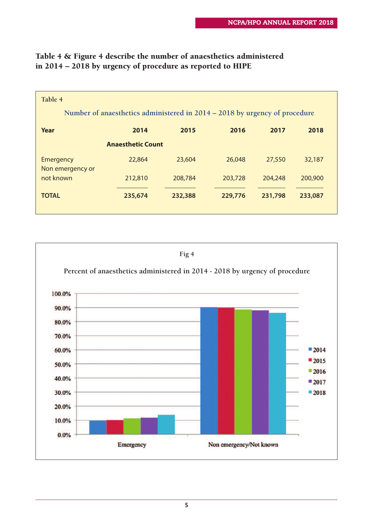| Table 4<br>Number of anaesthetics administered in 2014 – 2018 by urgency of procedure |                          |         |         |         |         |
|---------------------------------------------------------------------------------------|--------------------------|---------|---------|---------|---------|
| Year                                                                                  | 2014                     | 2015    | 2016    | 2017    | 2018    |
|                                                                                       | <b>Anaesthetic Count</b> |         |         |         |         |
| Emergency<br>Non emergency or                                                         | 22,864                   | 23,604  | 26,048  | 27,550  | 32,187  |
| not known                                                                             | 212,810                  | 208,784 | 203,728 | 204,248 | 200,900 |
| <b>TOTAL</b>                                                                          | 235,674                  | 232,388 | 229,776 | 231,798 | 233,087 |

#### **Table 4 & Figure 4 describe the number of anaesthetics administered in 2014 – 2018 by urgency of procedure as reported to HIPE**

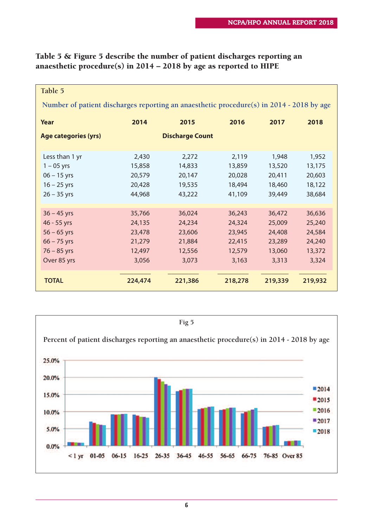| Table 5                                                                                  |         |         |         |         |         |
|------------------------------------------------------------------------------------------|---------|---------|---------|---------|---------|
| Number of patient discharges reporting an anaesthetic procedure(s) in 2014 - 2018 by age |         |         |         |         |         |
| Year                                                                                     | 2014    | 2015    | 2016    | 2017    | 2018    |
| <b>Discharge Count</b><br>Age categories (yrs)                                           |         |         |         |         |         |
| Less than 1 yr                                                                           | 2,430   | 2,272   | 2,119   | 1,948   | 1,952   |
| $1 - 05$ yrs                                                                             | 15,858  | 14,833  | 13,859  | 13,520  | 13,175  |
| $06 - 15$ yrs                                                                            | 20,579  | 20,147  | 20,028  | 20,411  | 20,603  |
| $16 - 25$ yrs                                                                            | 20,428  | 19,535  | 18,494  | 18,460  | 18,122  |
| $26 - 35$ yrs                                                                            | 44,968  | 43,222  | 41,109  | 39,449  | 38,684  |
| $36 - 45$ yrs                                                                            | 35,766  | 36,024  | 36,243  | 36,472  | 36,636  |
| 46 - 55 yrs                                                                              | 24,135  | 24,234  | 24,324  | 25,009  | 25,240  |
| $56 - 65$ yrs                                                                            | 23,478  | 23,606  | 23,945  | 24,408  | 24,584  |
| $66 - 75$ yrs                                                                            | 21,279  | 21,884  | 22,415  | 23,289  | 24,240  |
| $76 - 85$ yrs                                                                            | 12,497  | 12,556  | 12,579  | 13,060  | 13,372  |
| Over 85 yrs                                                                              | 3,056   | 3,073   | 3,163   | 3,313   | 3,324   |
| <b>TOTAL</b>                                                                             | 224,474 | 221,386 | 218,278 | 219,339 | 219,932 |

#### **Table 5 & Figure 5 describe the number of patient discharges reporting an anaesthetic procedure(s) in 2014 – 2018 by age as reported to HIPE**

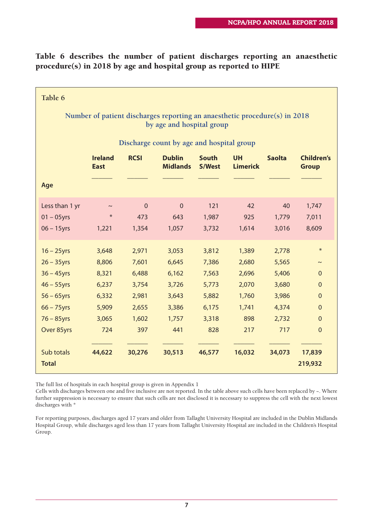**Table 6 describes the number of patient discharges reporting an anaesthetic procedure(s) in 2018 by age and hospital group as reported to HIPE**

| Table 6                                                                                                                           |                                                                    |                                                                    |                                                                    |                                                                    |                                                                  |                                                                    |                                                                                                         |
|-----------------------------------------------------------------------------------------------------------------------------------|--------------------------------------------------------------------|--------------------------------------------------------------------|--------------------------------------------------------------------|--------------------------------------------------------------------|------------------------------------------------------------------|--------------------------------------------------------------------|---------------------------------------------------------------------------------------------------------|
| Number of patient discharges reporting an anaesthetic procedure(s) in 2018<br>by age and hospital group                           |                                                                    |                                                                    |                                                                    |                                                                    |                                                                  |                                                                    |                                                                                                         |
|                                                                                                                                   |                                                                    |                                                                    | Discharge count by age and hospital group                          |                                                                    |                                                                  |                                                                    |                                                                                                         |
|                                                                                                                                   | <b>Ireland</b><br><b>East</b>                                      | <b>RCSI</b>                                                        | <b>Dublin</b><br><b>Midlands</b>                                   | <b>South</b><br><b>S/West</b>                                      | <b>UH</b><br><b>Limerick</b>                                     | <b>Saolta</b>                                                      | <b>Children's</b><br><b>Group</b>                                                                       |
| Age                                                                                                                               |                                                                    |                                                                    |                                                                    |                                                                    |                                                                  |                                                                    |                                                                                                         |
| Less than 1 yr<br>$01 - 05$ yrs<br>$06 - 15$ yrs                                                                                  | $\sim$<br>$\ast$<br>1,221                                          | $\overline{0}$<br>473<br>1,354                                     | $\overline{0}$<br>643<br>1,057                                     | 121<br>1,987<br>3,732                                              | 42<br>925<br>1,614                                               | 40<br>1,779<br>3,016                                               | 1,747<br>7,011<br>8,609                                                                                 |
| $16 - 25$ yrs<br>$26 - 35$ yrs<br>$36 - 45$ yrs<br>$46 - 55$ yrs<br>$56 - 65$ yrs<br>$66 - 75$ yrs<br>$76 - 85$ yrs<br>Over 85yrs | 3,648<br>8,806<br>8,321<br>6,237<br>6,332<br>5,909<br>3,065<br>724 | 2,971<br>7,601<br>6,488<br>3,754<br>2,981<br>2,655<br>1,602<br>397 | 3,053<br>6,645<br>6,162<br>3,726<br>3,643<br>3,386<br>1,757<br>441 | 3,812<br>7,386<br>7,563<br>5,773<br>5,882<br>6,175<br>3,318<br>828 | 1,389<br>2,680<br>2,696<br>2,070<br>1,760<br>1,741<br>898<br>217 | 2,778<br>5,565<br>5,406<br>3,680<br>3,986<br>4,374<br>2,732<br>717 | $\ast$<br>$\sim$<br>$\mathbf{0}$<br>$\mathbf 0$<br>$\overline{0}$<br>$\mathbf 0$<br>0<br>$\overline{0}$ |
| Sub totals<br><b>Total</b>                                                                                                        | 44,622                                                             | 30,276                                                             | 30,513                                                             | 46,577                                                             | 16,032                                                           | 34,073                                                             | 17,839<br>219,932                                                                                       |

The full list of hospitals in each hospital group is given in Appendix 1

Cells with discharges between one and five inclusive are not reported. In the table above such cells have been replaced by  $\sim$ . Where further suppression is necessary to ensure that such cells are not disclosed it is necessary to suppress the cell with the next lowest discharges with \*

For reporting purposes, discharges aged 17 years and older from Tallaght University Hospital are included in the Dublin Midlands Hospital Group, while discharges aged less than 17 years from Tallaght University Hospital are included in the Children's Hospital Group.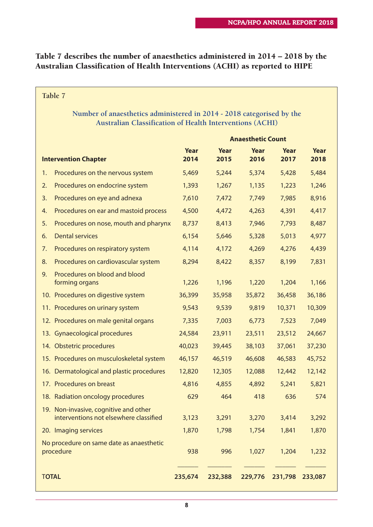#### **Table 7 describes the number of anaesthetics administered in 2014 – 2018 by the Australian Classification of Health Interventions (ACHI) as reported to HIPE**

| Table 7                                                                                                                           |              |              |                          |              |              |  |
|-----------------------------------------------------------------------------------------------------------------------------------|--------------|--------------|--------------------------|--------------|--------------|--|
| Number of anaesthetics administered in 2014 - 2018 categorised by the<br>Australian Classification of Health Interventions (ACHI) |              |              |                          |              |              |  |
|                                                                                                                                   |              |              | <b>Anaesthetic Count</b> |              |              |  |
| <b>Intervention Chapter</b>                                                                                                       | Year<br>2014 | Year<br>2015 | Year<br>2016             | Year<br>2017 | Year<br>2018 |  |
| Procedures on the nervous system<br>1.                                                                                            | 5,469        | 5,244        | 5,374                    | 5,428        | 5,484        |  |
| Procedures on endocrine system<br>2.                                                                                              | 1,393        | 1,267        | 1,135                    | 1,223        | 1,246        |  |
| Procedures on eye and adnexa<br>3.                                                                                                | 7,610        | 7,472        | 7,749                    | 7,985        | 8,916        |  |
| Procedures on ear and mastoid process<br>4.                                                                                       | 4,500        | 4,472        | 4,263                    | 4,391        | 4,417        |  |
| Procedures on nose, mouth and pharynx<br>5.                                                                                       | 8,737        | 8,413        | 7,946                    | 7,793        | 8,487        |  |
| <b>Dental services</b><br>6.                                                                                                      | 6,154        | 5,646        | 5,328                    | 5,013        | 4,977        |  |
| Procedures on respiratory system<br>7.                                                                                            | 4,114        | 4,172        | 4,269                    | 4,276        | 4,439        |  |
| Procedures on cardiovascular system<br>8.                                                                                         | 8,294        | 8,422        | 8,357                    | 8,199        | 7,831        |  |
| Procedures on blood and blood<br>9.<br>forming organs                                                                             | 1,226        | 1,196        | 1,220                    | 1,204        | 1,166        |  |
| 10. Procedures on digestive system                                                                                                | 36,399       | 35,958       | 35,872                   | 36,458       | 36,186       |  |
| 11. Procedures on urinary system                                                                                                  | 9,543        | 9,539        | 9,819                    | 10,371       | 10,309       |  |
| 12. Procedures on male genital organs                                                                                             | 7,335        | 7,003        | 6,773                    | 7,523        | 7,049        |  |
| 13. Gynaecological procedures                                                                                                     | 24,584       | 23,911       | 23,511                   | 23,512       | 24,667       |  |
| 14. Obstetric procedures                                                                                                          | 40,023       | 39,445       | 38,103                   | 37,061       | 37,230       |  |
| 15. Procedures on musculoskeletal system                                                                                          | 46,157       | 46,519       | 46,608                   | 46,583       | 45,752       |  |
| 16. Dermatological and plastic procedures                                                                                         | 12,820       | 12,305       | 12,088                   | 12,442       | 12,142       |  |
| 17. Procedures on breast                                                                                                          | 4,816        | 4,855        | 4,892                    | 5,241        | 5,821        |  |
| 18. Radiation oncology procedures                                                                                                 | 629          | 464          | 418                      | 636          | 574          |  |
| 19. Non-invasive, cognitive and other<br>interventions not elsewhere classified                                                   | 3,123        | 3,291        | 3,270                    | 3,414        | 3,292        |  |
| 20. Imaging services                                                                                                              | 1,870        | 1,798        | 1,754                    | 1,841        | 1,870        |  |
| No procedure on same date as anaesthetic<br>procedure                                                                             | 938          | 996          | 1,027                    | 1,204        | 1,232        |  |
| <b>TOTAL</b>                                                                                                                      | 235,674      | 232,388      | 229,776                  | 231,798      | 233,087      |  |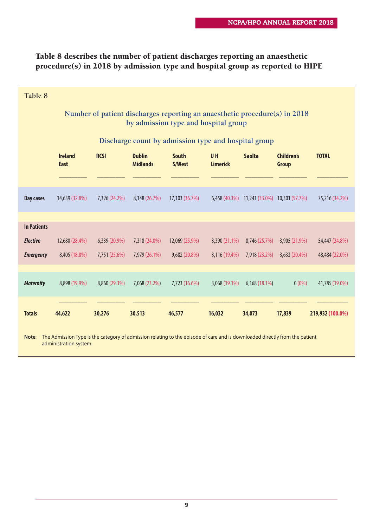#### **Table 8 describes the number of patient discharges reporting an anaesthetic procedure(s) in 2018 by admission type and hospital group as reported to HIPE**

| Table 8                                                                                                                                                        |                                                                                                                    |               |                                  |                                                      |                              |               |                                             |                  |
|----------------------------------------------------------------------------------------------------------------------------------------------------------------|--------------------------------------------------------------------------------------------------------------------|---------------|----------------------------------|------------------------------------------------------|------------------------------|---------------|---------------------------------------------|------------------|
|                                                                                                                                                                | Number of patient discharges reporting an anaesthetic procedure(s) in 2018<br>by admission type and hospital group |               |                                  |                                                      |                              |               |                                             |                  |
|                                                                                                                                                                |                                                                                                                    |               |                                  | Discharge count by admission type and hospital group |                              |               |                                             |                  |
|                                                                                                                                                                | <b>Ireland</b><br><b>East</b>                                                                                      | <b>RCSI</b>   | <b>Dublin</b><br><b>Midlands</b> | <b>South</b><br>S/West                               | <b>UH</b><br><b>Limerick</b> | <b>Saolta</b> | <b>Children's</b><br>Group                  | <b>TOTAL</b>     |
|                                                                                                                                                                |                                                                                                                    |               |                                  |                                                      |                              |               |                                             |                  |
| Day cases                                                                                                                                                      | 14,639 (32.8%)                                                                                                     | 7,326 (24.2%) | 8,148 (26.7%)                    | 17,103 (36.7%)                                       |                              |               | 6,458 (40.3%) 11,241 (33.0%) 10,301 (57.7%) | 75,216 (34.2%)   |
|                                                                                                                                                                |                                                                                                                    |               |                                  |                                                      |                              |               |                                             |                  |
| <b>In Patients</b>                                                                                                                                             |                                                                                                                    |               |                                  |                                                      |                              |               |                                             |                  |
| <b>Elective</b>                                                                                                                                                | 12,680 (28.4%)                                                                                                     | 6,339 (20.9%) | 7,318 (24.0%)                    | 12,069 (25.9%)                                       | $3,390(21.1\%)$              | 8,746 (25.7%) | 3,905 (21.9%)                               | 54,447 (24.8%)   |
| <b>Emergency</b>                                                                                                                                               | 8,405 (18.8%)                                                                                                      | 7,751 (25.6%) | 7,979 (26.1%)                    | 9,682 (20.8%)                                        | 3,116 (19.4%)                | 7,918 (23.2%) | 3,633 (20.4%)                               | 48,484 (22.0%)   |
| <b>Maternity</b>                                                                                                                                               | 8,898 (19.9%)                                                                                                      | 8,860 (29.3%) | 7,068 (23.2%)                    | 7,723 (16.6%)                                        | 3,068 (19.1%)                | 6,168 (18.1%) | $0(0\%)$                                    | 41,785 (19.0%)   |
| <b>Totals</b>                                                                                                                                                  | 44,622                                                                                                             | 30,276        | 30,513                           | 46,577                                               | 16,032                       | 34,073        | 17,839                                      | 219,932 (100.0%) |
| The Admission Type is the category of admission relating to the episode of care and is downloaded directly from the patient<br>Note:<br>administration system. |                                                                                                                    |               |                                  |                                                      |                              |               |                                             |                  |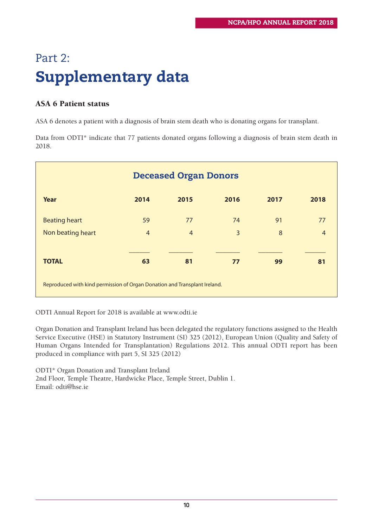# Part 2: **Supplementary data**

#### **ASA 6 Patient status**

ASA 6 denotes a patient with a diagnosis of brain stem death who is donating organs for transplant.

Data from ODTI\* indicate that 77 patients donated organs following a diagnosis of brain stem death in 2018.

| <b>Deceased Organ Donors</b>                                              |                |                |      |      |                |
|---------------------------------------------------------------------------|----------------|----------------|------|------|----------------|
| Year                                                                      | 2014           | 2015           | 2016 | 2017 | 2018           |
| <b>Beating heart</b>                                                      | 59             | 77             | 74   | 91   | 77             |
| Non beating heart                                                         | $\overline{4}$ | $\overline{4}$ | 3    | 8    | $\overline{4}$ |
|                                                                           |                |                |      |      |                |
| <b>TOTAL</b>                                                              | 63             | 81             | 77   | 99   | 81             |
| Reproduced with kind permission of Organ Donation and Transplant Ireland. |                |                |      |      |                |

ODTI Annual Report for 2018 is available at www.odti.ie

Organ Donation and Transplant Ireland has been delegated the regulatory functions assigned to the Health Service Executive (HSE) in Statutory Instrument (SI) 325 (2012), European Union (Quality and Safety of Human Organs Intended for Transplantation) Regulations 2012. This annual ODTI report has been produced in compliance with part 5, SI 325 (2012)

ODTI\* Organ Donation and Transplant Ireland 2nd Floor, Temple Theatre, Hardwicke Place, Temple Street, Dublin 1. Email: odti@hse.ie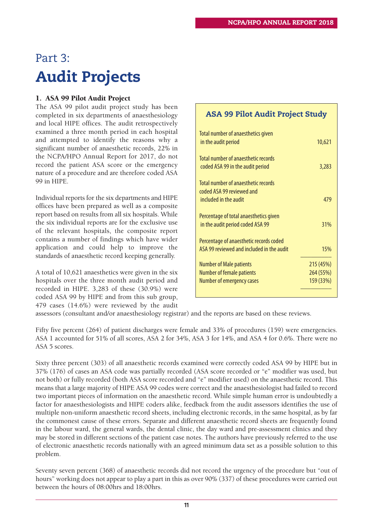# Part 3: **Audit Projects**

#### **1. ASA 99 Pilot Audit Project**

The ASA 99 pilot audit project study has been completed in six departments of anaesthesiology and local HIPE offices. The audit retrospectively examined a three month period in each hospital and attempted to identify the reasons why a significant number of anaesthetic records, 22% in the NCPA/HPO Annual Report for 2017, do not record the patient ASA score or the emergency nature of a procedure and are therefore coded ASA 99 in HIPE.

Individual reports for the six departments and HIPE offices have been prepared as well as a composite report based on results from all six hospitals. While the six individual reports are for the exclusive use of the relevant hospitals, the composite report contains a number of findings which have wider application and could help to improve the standards of anaesthetic record keeping generally.

A total of 10,621 anaesthetics were given in the six hospitals over the three month audit period and recorded in HIPE. 3,283 of these (30.9%) were coded ASA 99 by HIPE and from this sub group, 479 cases (14.6%) were reviewed by the audit

#### **ASA 99 Pilot Audit Project Study**

| Total number of anaesthetics given<br>in the audit period                  | 10,621    |
|----------------------------------------------------------------------------|-----------|
| Total number of anaesthetic records<br>coded ASA 99 in the audit period    | 3,283     |
| Total number of anaesthetic records<br>coded ASA 99 reviewed and           |           |
| included in the audit                                                      | 479       |
| Percentage of total anaesthetics given<br>in the audit period coded ASA 99 | 31%       |
| Percentage of anaesthetic records coded                                    |           |
| ASA 99 reviewed and included in the audit                                  | 15%       |
| <b>Number of Male patients</b>                                             | 215 (45%) |
| <b>Number of female patients</b>                                           | 264 (55%) |
| <b>Number of emergency cases</b>                                           | 159 (33%) |
|                                                                            |           |

assessors (consultant and/or anaesthesiology registrar) and the reports are based on these reviews.

Fifty five percent (264) of patient discharges were female and 33% of procedures (159) were emergencies. ASA 1 accounted for 51% of all scores, ASA 2 for 34%, ASA 3 for 14%, and ASA 4 for 0.6%. There were no ASA 5 scores.

Sixty three percent (303) of all anaesthetic records examined were correctly coded ASA 99 by HIPE but in 37% (176) of cases an ASA code was partially recorded (ASA score recorded or "e" modifier was used, but not both) or fully recorded (both ASA score recorded and "e" modifier used) on the anaesthetic record. This means that a large majority of HIPE ASA 99 codes were correct and the anaesthesiologist had failed to record two important pieces of information on the anaesthetic record. While simple human error is undoubtedly a factor for anaesthesiologists and HIPE coders alike, feedback from the audit assessors identifies the use of multiple non-uniform anaesthetic record sheets, including electronic records, in the same hospital, as by far the commonest cause of these errors. Separate and different anaesthetic record sheets are frequently found in the labour ward, the general wards, the dental clinic, the day ward and pre-assessment clinics and they may be stored in different sections of the patient case notes. The authors have previously referred to the use of electronic anaesthetic records nationally with an agreed minimum data set as a possible solution to this problem.

Seventy seven percent (368) of anaesthetic records did not record the urgency of the procedure but "out of hours" working does not appear to play a part in this as over 90% (337) of these procedures were carried out between the hours of 08:00hrs and 18:00hrs.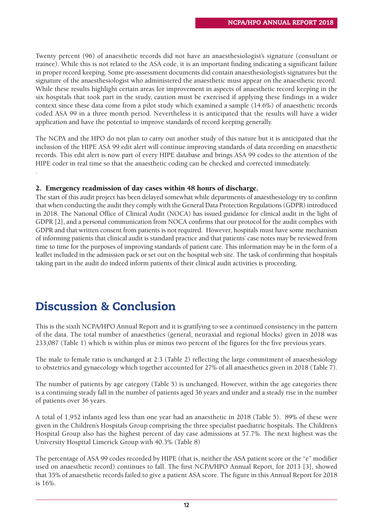Twenty percent (96) of anaesthetic records did not have an anaesthesiologist's signature (consultant or trainee). While this is not related to the ASA code, it is an important finding indicating a significant failure in proper record keeping. Some pre-assessment documents did contain anaesthesiologist's signatures but the signature of the anaesthesiologist who administered the anaesthetic must appear on the anaesthetic record. While these results highlight certain areas for improvement in aspects of anaesthetic record keeping in the six hospitals that took part in the study, caution must be exercised if applying these findings in a wider context since these data come from a pilot study which examined a sample (14.6%) of anaesthetic records coded ASA 99 in a three month period. Nevertheless it is anticipated that the results will have a wider application and have the potential to improve standards of record keeping generally.

The NCPA and the HPO do not plan to carry out another study of this nature but it is anticipated that the inclusion of the HIPE ASA 99 edit alert will continue improving standards of data recording on anaesthetic records. This edit alert is now part of every HIPE database and brings ASA 99 codes to the attention of the HIPE coder in real time so that the anaesthetic coding can be checked and corrected immediately.

#### **2. Emergency readmission of day cases within 48 hours of discharge.**

The start of this audit project has been delayed somewhat while departments of anaesthesiology try to confirm that when conducting the audit they comply with the General Data Protection Regulations (GDPR) introduced in 2018. The National Office of Clinical Audit (NOCA) has issued guidance for clinical audit in the light of GDPR [2], and a personal communication from NOCA confirms that our protocol for the audit complies with GDPR and that written consent from patients is not required. However, hospitals must have some mechanism of informing patients that clinical audit is standard practice and that patients' case notes may be reviewed from time to time for the purposes of improving standards of patient care. This information may be in the form of a leaflet included in the admission pack or set out on the hospital web site. The task of confirming that hospitals taking part in the audit do indeed inform patients of their clinical audit activities is proceeding.

## **Discussion & Conclusion**

.

This is the sixth NCPA/HPO Annual Report and it is gratifying to see a continued consistency in the pattern of the data. The total number of anaesthetics (general, neuraxial and regional blocks) given in 2018 was 233,087 (Table 1) which is within plus or minus two percent of the figures for the five previous years.

The male to female ratio is unchanged at 2:3 (Table 2) reflecting the large commitment of anaesthesiology to obstetrics and gynaecology which together accounted for 27% of all anaesthetics given in 2018 (Table 7).

The number of patients by age category (Table 5) is unchanged. However, within the age categories there is a continuing steady fall in the number of patients aged 36 years and under and a steady rise in the number of patients over 36 years.

A total of 1,952 infants aged less than one year had an anaesthetic in 2018 (Table 5). 89% of these were given in the Children's Hospitals Group comprising the three specialist paediatric hospitals. The Children's Hospital Group also has the highest percent of day case admissions at 57.7%. The next highest was the University Hospital Limerick Group with 40.3% (Table 8)

The percentage of ASA 99 codes recorded by HIPE (that is, neither the ASA patient score or the "e" modifier used on anaesthetic record) continues to fall. The first NCPA/HPO Annual Report, for 2013 [3], showed that 35% of anaesthetic records failed to give a patient ASA score. The figure in this Annual Report for 2018 is 16%.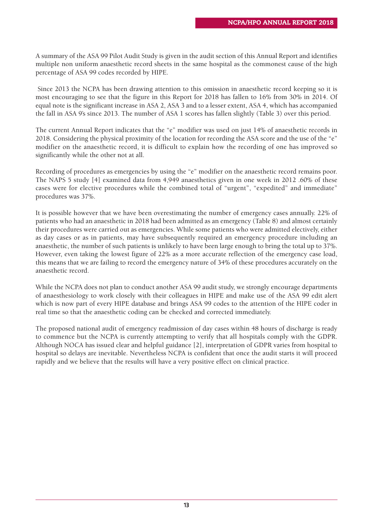A summary of the ASA 99 Pilot Audit Study is given in the audit section of this Annual Report and identifies multiple non uniform anaesthetic record sheets in the same hospital as the commonest cause of the high percentage of ASA 99 codes recorded by HIPE.

Since 2013 the NCPA has been drawing attention to this omission in anaesthetic record keeping so it is most encouraging to see that the figure in this Report for 2018 has fallen to 16% from 30% in 2014. Of equal note is the significant increase in ASA 2, ASA 3 and to a lesser extent, ASA 4, which has accompanied the fall in ASA 9's since 2013. The number of ASA 1 scores has fallen slightly (Table 3) over this period.

The current Annual Report indicates that the "e" modifier was used on just 14% of anaesthetic records in 2018. Considering the physical proximity of the location for recording the ASA score and the use of the "e" modifier on the anaesthetic record, it is difficult to explain how the recording of one has improved so significantly while the other not at all.

Recording of procedures as emergencies by using the "e" modifier on the anaesthetic record remains poor. The NAPS 5 study [4] examined data from 4,949 anaesthetics given in one week in 2012 .60% of these cases were for elective procedures while the combined total of "urgent", "expedited" and immediate" procedures was 37%.

It is possible however that we have been overestimating the number of emergency cases annually. 22% of patients who had an anaesthetic in 2018 had been admitted as an emergency (Table 8) and almost certainly their procedures were carried out as emergencies. While some patients who were admitted electively, either as day cases or as in patients, may have subsequently required an emergency procedure including an anaesthetic, the number of such patients is unlikely to have been large enough to bring the total up to 37%. However, even taking the lowest figure of 22% as a more accurate reflection of the emergency case load, this means that we are failing to record the emergency nature of 34% of these procedures accurately on the anaesthetic record.

While the NCPA does not plan to conduct another ASA 99 audit study, we strongly encourage departments of anaesthesiology to work closely with their colleagues in HIPE and make use of the ASA 99 edit alert which is now part of every HIPE database and brings ASA 99 codes to the attention of the HIPE coder in real time so that the anaesthetic coding can be checked and corrected immediately.

The proposed national audit of emergency readmission of day cases within 48 hours of discharge is ready to commence but the NCPA is currently attempting to verify that all hospitals comply with the GDPR. Although NOCA has issued clear and helpful guidance [2], interpretation of GDPR varies from hospital to hospital so delays are inevitable. Nevertheless NCPA is confident that once the audit starts it will proceed rapidly and we believe that the results will have a very positive effect on clinical practice.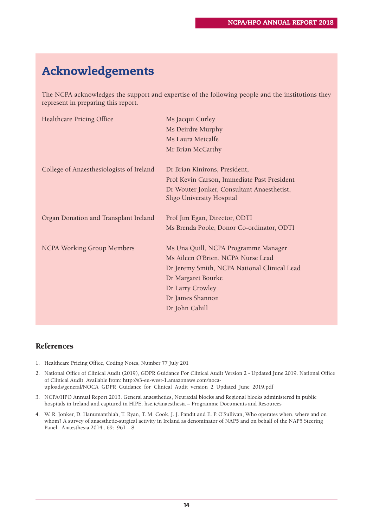# **Acknowledgements**

The NCPA acknowledges the support and expertise of the following people and the institutions they represent in preparing this report.

| <b>Healthcare Pricing Office</b>         | Ms Jacqui Curley                                                        |
|------------------------------------------|-------------------------------------------------------------------------|
|                                          | Ms Deirdre Murphy                                                       |
|                                          | Ms Laura Metcalfe                                                       |
|                                          | Mr Brian McCarthy                                                       |
| College of Anaesthesiologists of Ireland | Dr Brian Kinirons, President,                                           |
|                                          | Prof Kevin Carson, Immediate Past President                             |
|                                          | Dr Wouter Jonker, Consultant Anaesthetist,<br>Sligo University Hospital |
| Organ Donation and Transplant Ireland    | Prof Jim Egan, Director, ODTI                                           |
|                                          | Ms Brenda Poole, Donor Co-ordinator, ODTI                               |
| <b>NCPA Working Group Members</b>        | Ms Una Quill, NCPA Programme Manager                                    |
|                                          | Ms Aileen O'Brien, NCPA Nurse Lead                                      |
|                                          | Dr Jeremy Smith, NCPA National Clinical Lead                            |
|                                          | Dr Margaret Bourke                                                      |
|                                          | Dr Larry Crowley                                                        |
|                                          | Dr James Shannon                                                        |
|                                          | Dr John Cahill                                                          |
|                                          |                                                                         |

#### **References**

- 1. Healthcare Pricing Office, Coding Notes, Number 77 July 201
- 2. National Office of Clinical Audit (2019), GDPR Guidance For Clinical Audit Version 2 Updated June 2019. National Office of Clinical Audit. Available from: http://s3-eu-west-1.amazonaws.com/nocauploads/general/NOCA\_GDPR\_Guidance\_for\_Clinical\_Audit\_version\_2\_Updated\_June\_2019.pdf
- 3. NCPA/HPO Annual Report 2013. General anaesthetics, Neuraxial blocks and Regional blocks administered in public hospitals in Ireland and captured in HIPE. hse.ie/anaesthesia – Programme Documents and Resources
- 4. W. R. Jonker, D. Hanumanthiah, T. Ryan, T. M. Cook, J. J. Pandit and E. P. O'Sullivan, Who operates when, where and on whom? A survey of anaesthetic-surgical activity in Ireland as denominator of NAP5 and on behalf of the NAP5 Steering Panel. Anaesthesia 2014:. 69: 961 – 8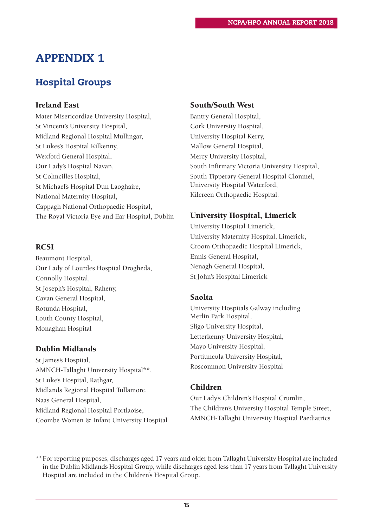## **APPENDIX 1**

### **Hospital Groups**

#### **Ireland East**

Mater Misericordiae University Hospital, St Vincent's University Hospital, Midland Regional Hospital Mullingar, St Lukes's Hospital Kilkenny, Wexford General Hospital, Our Lady's Hospital Navan, St Colmcilles Hospital, St Michael's Hospital Dun Laoghaire, National Maternity Hospital, Cappagh National Orthopaedic Hospital, The Royal Victoria Eye and Ear Hospital, Dublin

#### **RCSI**

Beaumont Hospital, Our Lady of Lourdes Hospital Drogheda, Connolly Hospital, St Joseph's Hospital, Raheny, Cavan General Hospital, Rotunda Hospital, Louth County Hospital, Monaghan Hospital

#### **Dublin Midlands**

St James's Hospital, AMNCH-Tallaght University Hospital\*\*, St Luke's Hospital, Rathgar, Midlands Regional Hospital Tullamore, Naas General Hospital, Midland Regional Hospital Portlaoise, Coombe Women & Infant University Hospital

#### **South/South West**

Bantry General Hospital, Cork University Hospital, University Hospital Kerry, Mallow General Hospital, Mercy University Hospital, South Infirmary Victoria University Hospital, South Tipperary General Hospital Clonmel, University Hospital Waterford, Kilcreen Orthopaedic Hospital.

#### **University Hospital, Limerick**

University Hospital Limerick, University Maternity Hospital, Limerick, Croom Orthopaedic Hospital Limerick, Ennis General Hospital, Nenagh General Hospital, St John's Hospital Limerick

#### **Saolta**

University Hospitals Galway including Merlin Park Hospital, Sligo University Hospital, Letterkenny University Hospital, Mayo University Hospital, Portiuncula University Hospital, Roscommon University Hospital

#### **Children**

Our Lady's Children's Hospital Crumlin, The Children's University Hospital Temple Street, AMNCH-Tallaght University Hospital Paediatrics

\*\*For reporting purposes, discharges aged 17 years and older from Tallaght University Hospital are included in the Dublin Midlands Hospital Group, while discharges aged less than 17 years from Tallaght University Hospital are included in the Children's Hospital Group.